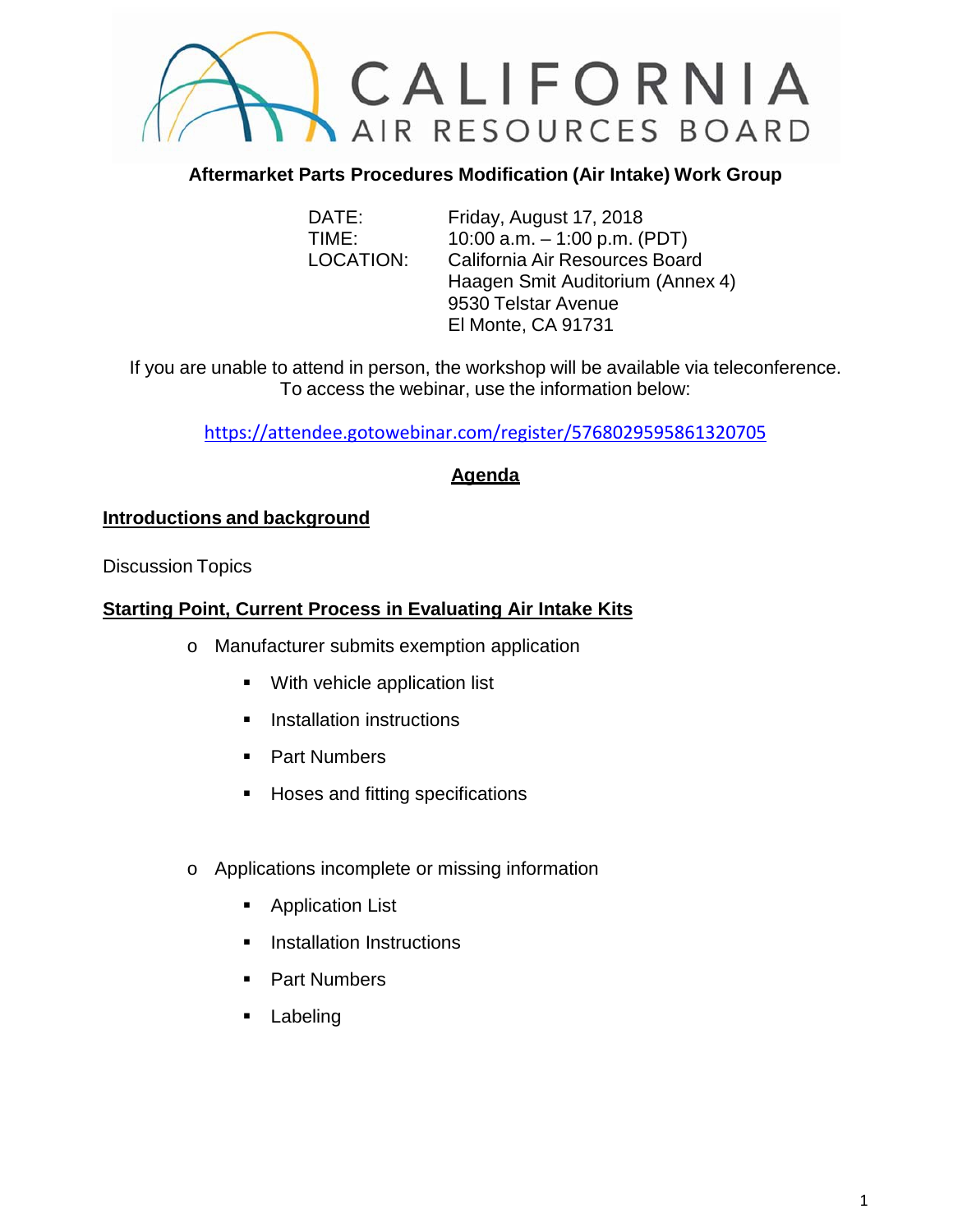

### **Aftermarket Parts Procedures Modification (Air Intake) Work Group**

DATE: Friday, August 17, 2018 TIME: 10:00 a.m. – 1:00 p.m. (PDT) LOCATION: California Air Resources Board Haagen Smit Auditorium (Annex 4) 9530 Telstar Avenue El Monte, CA 91731

If you are unable to attend in person, the workshop will be available via teleconference. To access the webinar, use the information below:

<https://attendee.gotowebinar.com/register/5768029595861320705>

### **Agenda**

#### **Introductions and background**

Discussion Topics

### **Starting Point, Current Process in Evaluating Air Intake Kits**

- o Manufacturer submits exemption application
	- **With vehicle application list**
	- **Installation instructions**
	- **Part Numbers**
	- **Hoses and fitting specifications**
- o Applications incomplete or missing information
	- **Application List**
	- **Installation Instructions**
	- Part Numbers
	- **Labeling**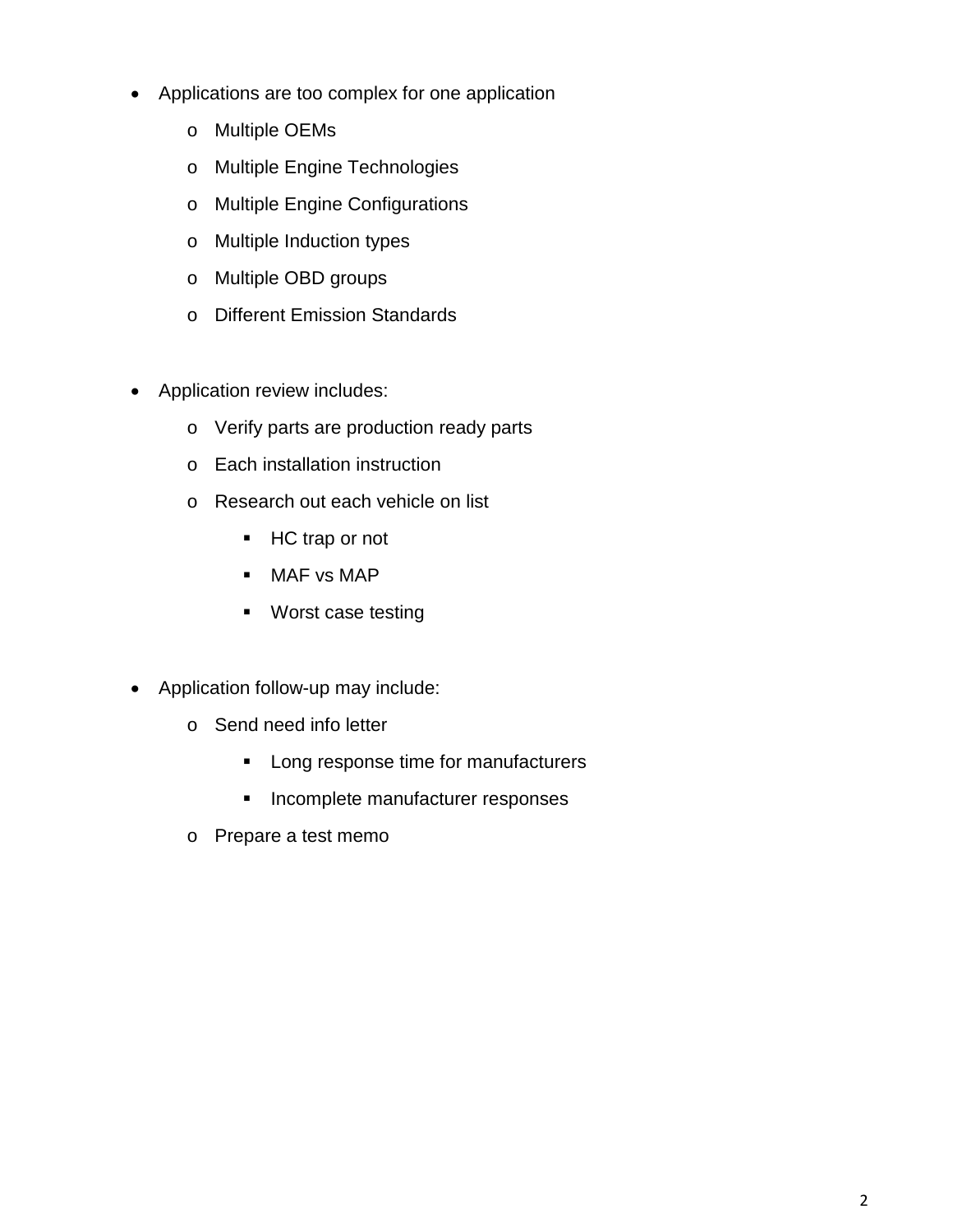- Applications are too complex for one application
	- o Multiple OEMs
	- o Multiple Engine Technologies
	- o Multiple Engine Configurations
	- o Multiple Induction types
	- o Multiple OBD groups
	- o Different Emission Standards
- Application review includes:
	- o Verify parts are production ready parts
	- o Each installation instruction
	- o Research out each vehicle on list
		- HC trap or not
		- **MAF** vs MAP
		- **Worst case testing**
- Application follow-up may include:
	- o Send need info letter
		- **Long response time for manufacturers**
		- **Incomplete manufacturer responses**
	- o Prepare a test memo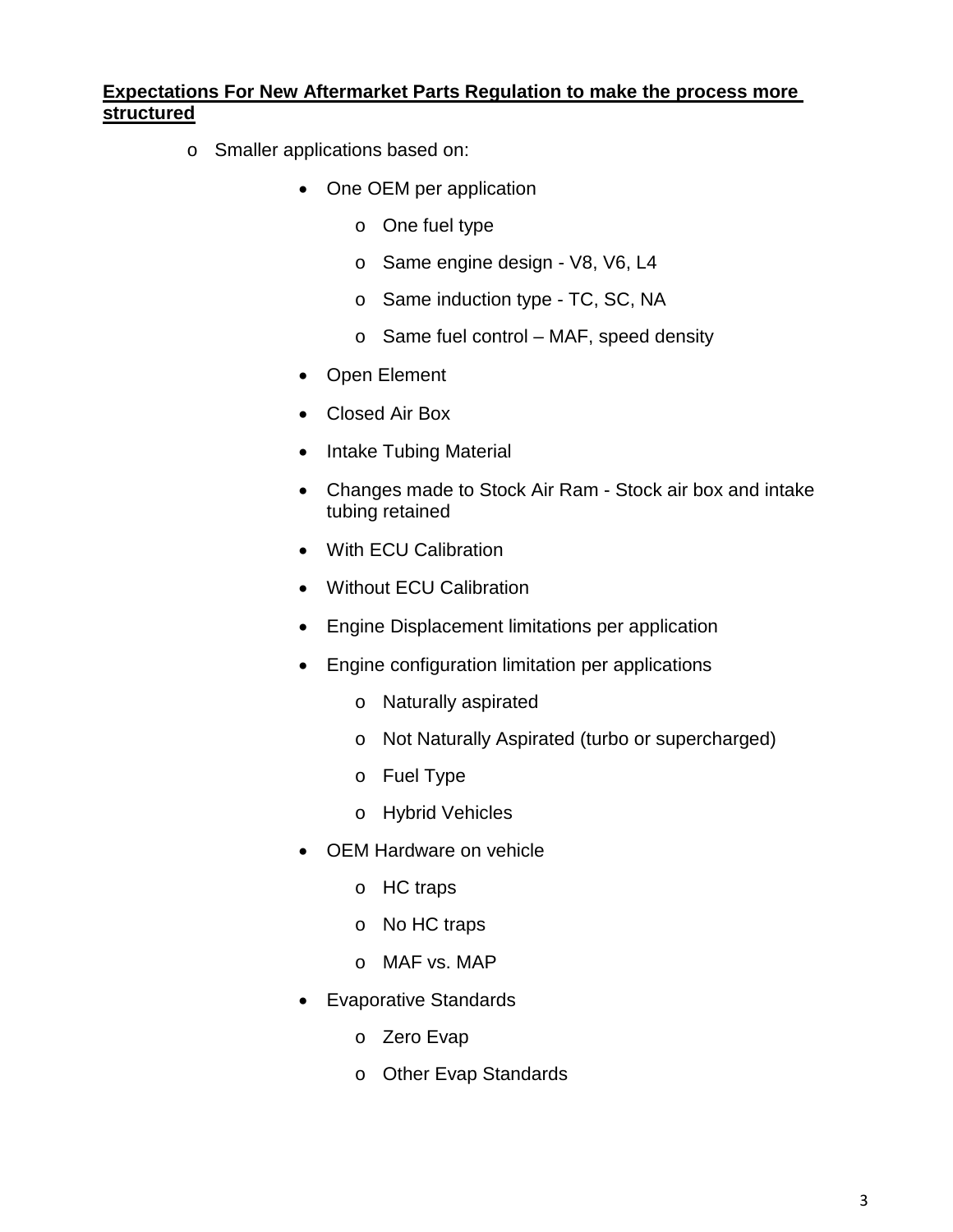### **Expectations For New Aftermarket Parts Regulation to make the process more structured**

- o Smaller applications based on:
	- One OEM per application
		- o One fuel type
		- o Same engine design V8, V6, L4
		- o Same induction type TC, SC, NA
		- o Same fuel control MAF, speed density
	- Open Element
	- Closed Air Box
	- Intake Tubing Material
	- Changes made to Stock Air Ram Stock air box and intake tubing retained
	- With ECU Calibration
	- Without ECU Calibration
	- Engine Displacement limitations per application
	- Engine configuration limitation per applications
		- o Naturally aspirated
		- o Not Naturally Aspirated (turbo or supercharged)
		- o Fuel Type
		- o Hybrid Vehicles
	- OEM Hardware on vehicle
		- o HC traps
		- o No HC traps
		- o MAF vs. MAP
	- Evaporative Standards
		- o Zero Evap
		- o Other Evap Standards